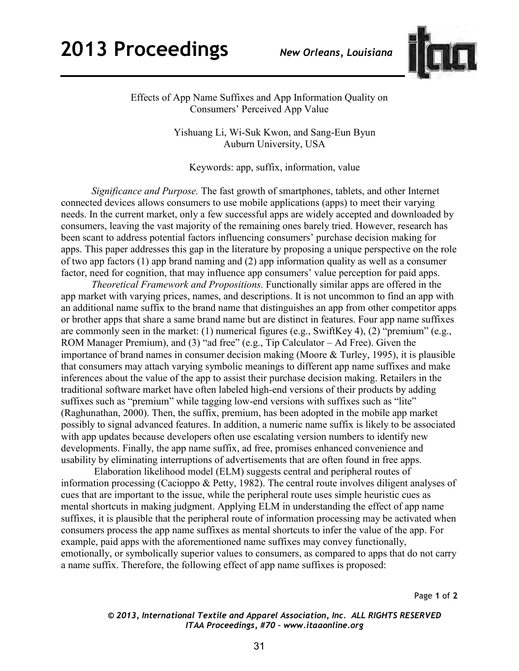## **2013 Proceedings** *New Orleans, Louisiana*



Effects of App Name Suffixes and App Information Quality on Consumers' Perceived App Value

> Yishuang Li, Wi-Suk Kwon, and Sang-Eun Byun Auburn University, USA

Keywords: app, suffix, information, value

*Significance and Purpose.* The fast growth of smartphones, tablets, and other Internet connected devices allows consumers to use mobile applications (apps) to meet their varying needs. In the current market, only a few successful apps are widely accepted and downloaded by consumers, leaving the vast majority of the remaining ones barely tried. However, research has been scant to address potential factors influencing consumers' purchase decision making for apps. This paper addresses this gap in the literature by proposing a unique perspective on the role of two app factors (1) app brand naming and (2) app information quality as well as a consumer factor, need for cognition, that may influence app consumers' value perception for paid apps.

*Theoretical Framework and Propositions.* Functionally similar apps are offered in the app market with varying prices, names, and descriptions. It is not uncommon to find an app with an additional name suffix to the brand name that distinguishes an app from other competitor apps or brother apps that share a same brand name but are distinct in features. Four app name suffixes are commonly seen in the market: (1) numerical figures (e.g., SwiftKey 4), (2) "premium" (e.g., ROM Manager Premium), and (3) "ad free" (e.g., Tip Calculator – Ad Free). Given the importance of brand names in consumer decision making [\(Moore & Turley, 1995\)](#page-1-0), it is plausible that consumers may attach varying symbolic meanings to different app name suffixes and make inferences about the value of the app to assist their purchase decision making. Retailers in the traditional software market have often labeled high-end versions of their products by adding suffixes such as "premium" while tagging low-end versions with suffixes such as "lite" [\(Raghunathan, 2000\)](#page-1-1). Then, the suffix, premium, has been adopted in the mobile app market possibly to signal advanced features. In addition, a numeric name suffix is likely to be associated with app updates because developers often use escalating version numbers to identify new developments. Finally, the app name suffix, ad free, promises enhanced convenience and usability by eliminating interruptions of advertisements that are often found in free apps.

Elaboration likelihood model (ELM) suggests central and peripheral routes of information processing (Cacioppo & Petty, 1982). The central route involves diligent analyses of cues that are important to the issue, while the peripheral route uses simple heuristic cues as mental shortcuts in making judgment. Applying ELM in understanding the effect of app name suffixes, it is plausible that the peripheral route of information processing may be activated when consumers process the app name suffixes as mental shortcuts to infer the value of the app. For example, paid apps with the aforementioned name suffixes may convey functionally, emotionally, or symbolically superior values to consumers, as compared to apps that do not carry a name suffix. Therefore, the following effect of app name suffixes is proposed:

Page **1** of **2** 

*© 2013, International Textile and Apparel Association, Inc. ALL RIGHTS RESERVED ITAA Proceedings, #70 – www.itaaonline.org*